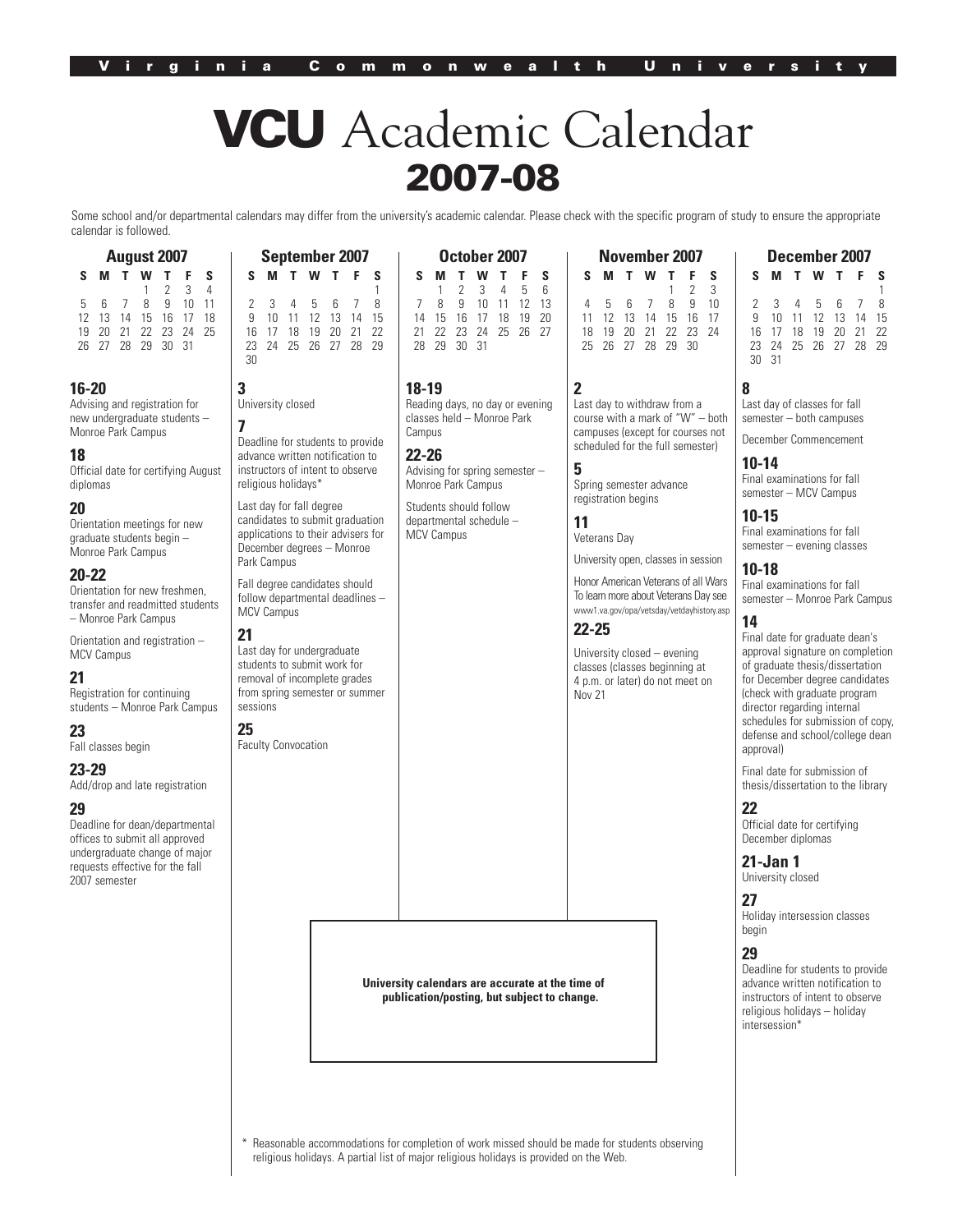# VCU Academic Calendar 2007-08

Some school and/or departmental calendars may differ from the university's academic calendar. Please check with the specific program of study to ensure the appropriate calendar is followed.

| <b>August 2007</b> |   |                 |                   |             |        |   |  |  |  |
|--------------------|---|-----------------|-------------------|-------------|--------|---|--|--|--|
| s                  | м | T.              | w                 | T           | F.     | S |  |  |  |
|                    |   |                 |                   | $1 \t2 \t3$ |        | 4 |  |  |  |
| 5.                 | 6 | $7\overline{ }$ |                   | 89          | 10, 11 |   |  |  |  |
| 12                 |   |                 | 13 14 15 16 17 18 |             |        |   |  |  |  |
| 19                 |   |                 | 20 21 22 23 24 25 |             |        |   |  |  |  |
|                    |   |                 | 26 27 28 29 30 31 |             |        |   |  |  |  |

#### **16-20**

Advising and registration for new undergraduate students – Monroe Park Campus

**3**

30

**7**

**25**

sessions

**21**

Faculty Convocation

University closed

religious holidays\* Last day for fall degree candidates to submit graduation applications to their advisers for December degrees – Monroe

Park Campus

MCV Campus

Deadline for students to provide advance written notification to instructors of intent to observe

Fall degree candidates should follow departmental deadlines –

Last day for undergraduate students to submit work for removal of incomplete grades from spring semester or summer

#### **18**

Official date for certifying August diplomas

# **20**

Orientation meetings for new graduate students begin – Monroe Park Campus

# **20-22**

Orientation for new freshmen, transfer and readmitted students – Monroe Park Campus

Orientation and registration – MCV Campus

# **21**

Registration for continuing students – Monroe Park Campus

# **23**

Fall classes begin

# **23-29**

Add/drop and late registration

# **29**

Deadline for dean/departmental offices to submit all approved undergraduate change of major requests effective for the fall 2007 semester

| September 2007 |  |  |                      |  |  |  |    |             | October 2007 |  |                      |  |
|----------------|--|--|----------------------|--|--|--|----|-------------|--------------|--|----------------------|--|
|                |  |  | S M T W T F S        |  |  |  | S. |             |              |  | <b>MTWTFS</b>        |  |
|                |  |  |                      |  |  |  |    |             |              |  | 2, 3, 4, 5, 6        |  |
|                |  |  | 2 3 4 5 6 7 8        |  |  |  |    |             |              |  | 8 9 10 11 12 13      |  |
|                |  |  | 9 10 11 12 13 14 15  |  |  |  |    |             |              |  | 14 15 16 17 18 19 20 |  |
|                |  |  | 16 17 18 19 20 21 22 |  |  |  |    |             |              |  | 21 22 23 24 25 26 27 |  |
|                |  |  | 23 24 25 26 27 28 29 |  |  |  |    | 28 29 30 31 |              |  |                      |  |

#### **18-19**

Reading days, no day or evening classes held – Monroe Park Campus

#### **22-26**

Advising for spring semester – Monroe Park Campus

Students should follow departmental schedule – MCV Campus

**2** Last day to withdraw from a course with a mark of "W" – both campuses (except for courses not scheduled for the full semester)

**November 2007 S M T W T F S**

 5 6 7 8 9 10 12 13 14 15 16 17 19 20 21 22 23 24 26 27 28 29 30

1 2 3

# **5**

Spring semester advance registration begins

# **11**

Veterans Day University open, classes in session

Honor American Veterans of all Wars To learn more about Veterans Day see www1.va.gov/opa/vetsday/vetdayhistory.asp

# **22-25**

University closed – evening classes (classes beginning at 4 p.m. or later) do not meet on Nov 21

**S M T W T F S**

**December 2007**

|       |  |  | 2 3 4 5 6 7 8        |  |
|-------|--|--|----------------------|--|
|       |  |  | 9 10 11 12 13 14 15  |  |
|       |  |  | 16 17 18 19 20 21 22 |  |
|       |  |  | 23 24 25 26 27 28 29 |  |
| 30.31 |  |  |                      |  |

#### **8**

Last day of classes for fall semester – both campuses

December Commencement

# **10-14**

Final examinations for fall semester – MCV Campus

# **10-15**

Final examinations for fall semester – evening classes

# **10-18**

Final examinations for fall semester – Monroe Park Campus

# **14**

Final date for graduate dean's approval signature on completion of graduate thesis/dissertation for December degree candidates (check with graduate program director regarding internal schedules for submission of copy, defense and school/college dean approval)

Final date for submission of thesis/dissertation to the library

# **22**

Official date for certifying December diplomas

# **21-Jan 1**

University closed

#### **27**

Holiday intersession classes begin

#### **29**

Deadline for students to provide advance written notification to instructors of intent to observe religious holidays – holiday intersession\*

**University calendars are accurate at the time of publication/posting, but subject to change.**

Reasonable accommodations for completion of work missed should be made for students observing religious holidays. A partial list of major religious holidays is provided on the Web.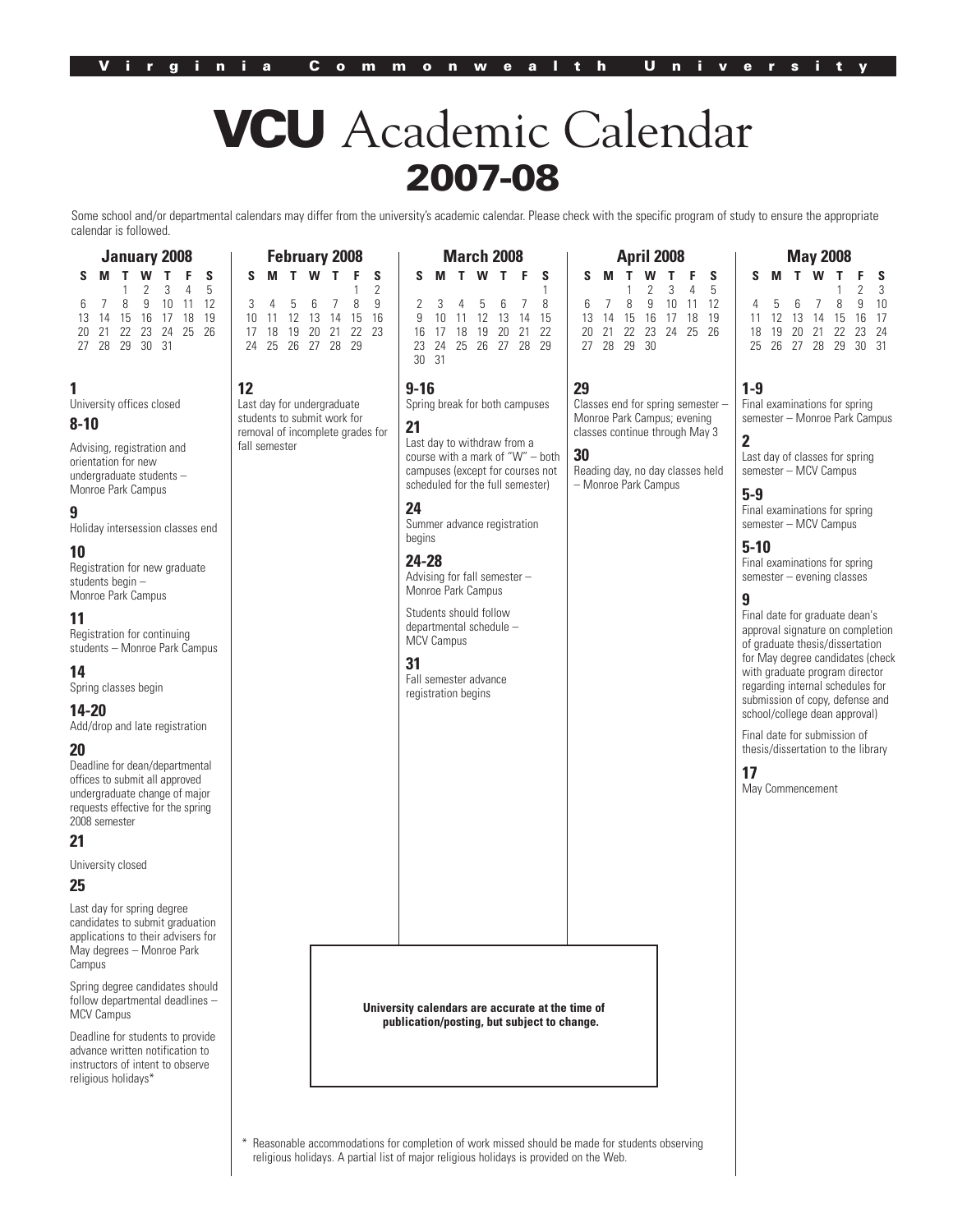# **VCU** Academic Calendar **2007-08**

Some school and/or departmental calendars may differ from the university's academic calendar. Please check with the specific program of study to ensure the appropriate calendar is followed.

> **March 2008 SMTWT F S**

2 345678

23 24 25 26 27 28 29

| <b>January 2008</b> |  |  |                      |  |  |              |  |  |  |
|---------------------|--|--|----------------------|--|--|--------------|--|--|--|
| S.                  |  |  | <b>MTWTF</b>         |  |  | $\mathsf{s}$ |  |  |  |
|                     |  |  | $1 \t2 \t3 \t4 \t5$  |  |  |              |  |  |  |
|                     |  |  | 6 7 8 9 10 11 12     |  |  |              |  |  |  |
|                     |  |  | 13 14 15 16 17 18 19 |  |  |              |  |  |  |
|                     |  |  | 20 21 22 23 24 25 26 |  |  |              |  |  |  |
|                     |  |  | 27 28 29 30 31       |  |  |              |  |  |  |

#### **1**

University offices closed

#### **8-10**

Advising, registration and orientation for new undergraduate students – Monroe Park Campus

# **9**

Holiday intersession classes end

# **10**

Registration for new graduate students begin – Monroe Park Campus

# **11**

Registration for continuing students – Monroe Park Campus

#### **14** Spring classes begin

# **14-20**

Add/drop and late registration

#### **20**

Deadline for dean/departmental offices to submit all approved undergraduate change of major requests effective for the spring 2008 semester

# **21**

University closed

# **25**

Last day for spring degree candidates to submit graduation applications to their advisers for May degrees – Monroe Park Campus

Spring degree candidates should follow departmental deadlines – MCV Campus

Deadline for students to provide advance written notification to instructors of intent to observe religious holidays\*

|                                  |  |  |  |                   | 17 18 19 20 21 22 23 |  |  |  |  |
|----------------------------------|--|--|--|-------------------|----------------------|--|--|--|--|
|                                  |  |  |  | 24 25 26 27 28 29 |                      |  |  |  |  |
|                                  |  |  |  |                   |                      |  |  |  |  |
|                                  |  |  |  |                   |                      |  |  |  |  |
| 12                               |  |  |  |                   |                      |  |  |  |  |
|                                  |  |  |  |                   |                      |  |  |  |  |
| Last day for undergraduate       |  |  |  |                   |                      |  |  |  |  |
| students to submit work for      |  |  |  |                   |                      |  |  |  |  |
| removal of incomplete grades for |  |  |  |                   |                      |  |  |  |  |

**February 2008 SMTWT F S**

3 456789 10 11 12 13 14 15 16

removal of incomplete grades for fall semester **21** Last day to withdraw from a

 $\begin{matrix} 1 & 2 \\ 8 & 9 \end{matrix}$ 

**24** Summer advance registration

Spring break for both campuses

campuses (except for courses not scheduled for the full semester)

**24-28** Advising for fall semester –

Students should follow departmental schedule –

**31**

Fall semester advance registration begins

1<br>8 9 10 11 12 13 14 15 16 17 18 19 20 21 22 **April 2008** 13 14 15 16

> Classes end for spring semester – Monroe Park Campus; evening classes continue through May 3

course with a mark of "W" – both

Reading day, no day classes held – Monroe Park Campus

Monroe Park Campus

MCV Campus

**9-16**

30 31

begins

**SMTWT F S** 1 2345 6 7 8 9 10 11 12 20 21 22 23 24 25 26 27 28 29 30

**29**

**30**

**5-9** Final examinations for spring semester – MCV Campus

Final examinations for spring semester – Monroe Park Campus

**May 2008 SMTWT F S**

4 5 6 7 8 9 10 11 12 13 14 15 16 17 18 19 20 21 22 23 24 25 26 27 28 29

 $\begin{array}{cc} 2 & 3 \\ 9 & 10 \end{array}$ 

Last day of classes for spring semester – MCV Campus

#### **5-10**

**1-9**

**2**

Final examinations for spring semester – evening classes

# **9**

Final date for graduate dean's approval signature on completion of graduate thesis/dissertation for May degree candidates (check with graduate program director regarding internal schedules for submission of copy, defense and school/college dean approval)

Final date for submission of thesis/dissertation to the library

**17**

May Commencement

**University calendars are accurate at the time of publication/posting, but subject to change.**

Reasonable accommodations for completion of work missed should be made for students observing religious holidays. A partial list of major religious holidays is provided on the Web.